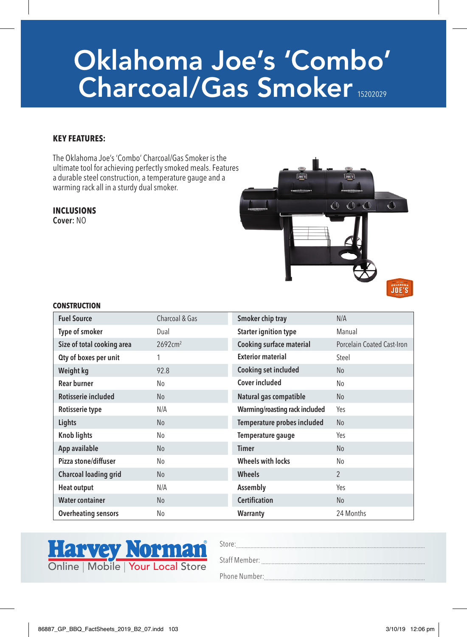# Oklahoma Joe's 'Combo' Charcoal/Gas Smoker 15202029

### **KEY FEATURES:**

The Oklahoma Joe's 'Combo' Charcoal/Gas Smoker is the ultimate tool for achieving perfectly smoked meals. Features a durable steel construction, a temperature gauge and a warming rack all in a sturdy dual smoker.

#### **INCLUSIONS** Cover: NO



#### **CONSTRUCTION**

| <b>Fuel Source</b>         | Charcoal & Gas     | Smoker chip tray               | N/A                        |
|----------------------------|--------------------|--------------------------------|----------------------------|
| Type of smoker             | Dual               | <b>Starter ignition type</b>   | Manual                     |
| Size of total cooking area | $2692 \text{cm}^2$ | Cooking surface material       | Porcelain Coated Cast-Iron |
| Oty of boxes per unit      |                    | <b>Exterior material</b>       | Steel                      |
| Weight kg                  | 92.8               | Cooking set included           | N <sub>0</sub>             |
| <b>Rear burner</b>         | No                 | Cover included                 | No                         |
| Rotisserie included        | N <sub>o</sub>     | Natural gas compatible         | <b>No</b>                  |
| Rotisserie type            | N/A                | Warming/roasting rack included | Yes                        |
| Lights                     | N <sub>o</sub>     | Temperature probes included    | N <sub>o</sub>             |
| <b>Knob lights</b>         | No                 | Temperature gauge              | Yes                        |
| App available              | No                 | <b>Timer</b>                   | <b>No</b>                  |
| Pizza stone/diffuser       | No                 | <b>Wheels with locks</b>       | No                         |
| Charcoal loading grid      | N <sub>o</sub>     | <b>Wheels</b>                  | $\mathfrak{p}$             |
| <b>Heat output</b>         | N/A                | Assembly                       | Yes                        |
| <b>Water container</b>     | N <sub>o</sub>     | <b>Certification</b>           | <b>No</b>                  |
| <b>Overheating sensors</b> | No                 | Warranty                       | 24 Months                  |



Store: Staff Member: Phone Number: